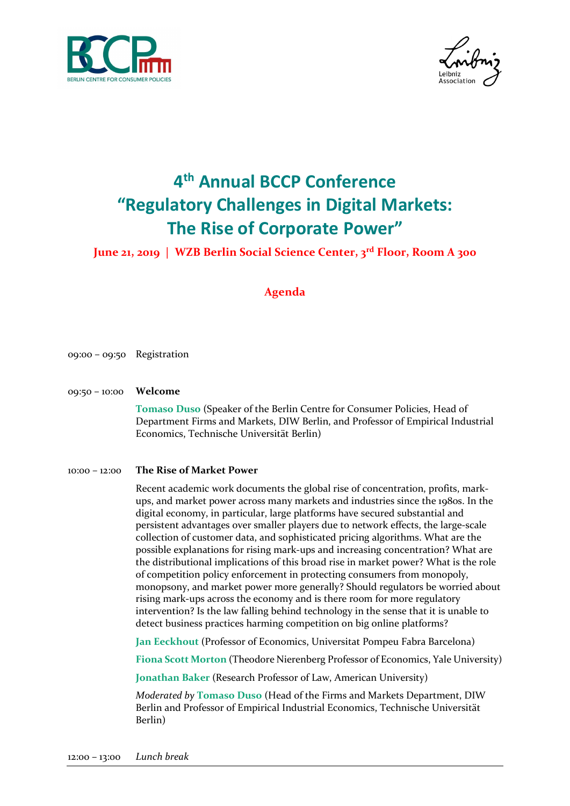



# 4 th Annual BCCP Conference "Regulatory Challenges in Digital Markets: The Rise of Corporate Power"

## June 21, 2019 | WZB Berlin Social Science Center, 3rd Floor, Room A 300

## Agenda

- 09:00 09:50 Registration
- 09:50 10:00 Welcome

Tomaso Duso (Speaker of the Berlin Centre for Consumer Policies, Head of Department Firms and Markets, DIW Berlin, and Professor of Empirical Industrial Economics, Technische Universität Berlin)

#### 10:00 – 12:00 The Rise of Market Power

Recent academic work documents the global rise of concentration, profits, markups, and market power across many markets and industries since the 1980s. In the digital economy, in particular, large platforms have secured substantial and persistent advantages over smaller players due to network effects, the large-scale collection of customer data, and sophisticated pricing algorithms. What are the possible explanations for rising mark-ups and increasing concentration? What are the distributional implications of this broad rise in market power? What is the role of competition policy enforcement in protecting consumers from monopoly, monopsony, and market power more generally? Should regulators be worried about rising mark-ups across the economy and is there room for more regulatory intervention? Is the law falling behind technology in the sense that it is unable to detect business practices harming competition on big online platforms?

Jan Eeckhout (Professor of Economics, Universitat Pompeu Fabra Barcelona)

Fiona Scott Morton (Theodore Nierenberg Professor of Economics, Yale University)

Jonathan Baker (Research Professor of Law, American University)

Moderated by Tomaso Duso (Head of the Firms and Markets Department, DIW Berlin and Professor of Empirical Industrial Economics, Technische Universität Berlin)